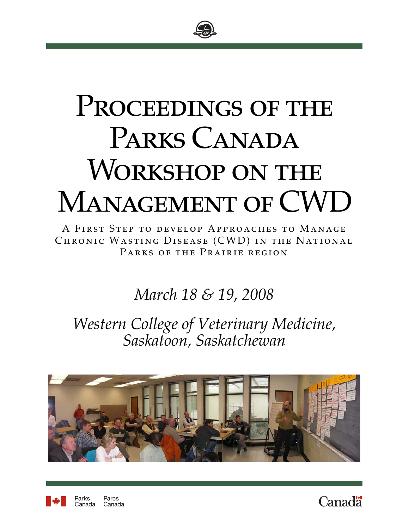

# PROCEEDINGS OF THE PARKS CANADA WORKSHOP ON THE MANAGEMENT OF CWD

A First Step to develop Approaches to Manage Chronic Wasting Disease (CWD) in the National Parks of the Prairie region

## *March 18 & 19, 2008*

*Western College of Veterinary Medicine, Saskatoon, Saskatchewan* 





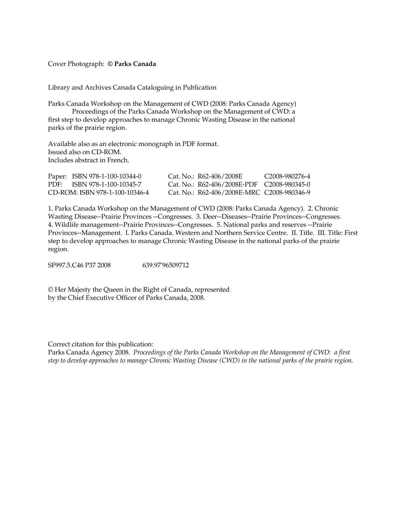#### Cover Photograph: **© Parks Canada**

Library and Archives Canada Cataloguing in Publication

Parks Canada Workshop on the Management of CWD (2008: Parks Canada Agency) Proceedings of the Parks Canada Workshop on the Management of CWD: a first step to develop approaches to manage Chronic Wasting Disease in the national parks of the prairie region.

Available also as an electronic monograph in PDF format. Issued also on CD-ROM. Includes abstract in French.

| Paper: ISBN 978-1-100-10344-0  | Cat. No.: R62-406/2008E                    | C <sub>2008-980276-4</sub> |
|--------------------------------|--------------------------------------------|----------------------------|
| PDF: ISBN 978-1-100-10345-7    | Cat. No.: R62-406/2008E-PDF C2008-980345-0 |                            |
| CD-ROM: ISBN 978-1-100-10346-4 | Cat. No.: R62-406/2008E-MRC C2008-980346-9 |                            |

1. Parks Canada Workshop on the Management of CWD (2008: Parks Canada Agency). 2. Chronic Wasting Disease--Prairie Provinces --Congresses. 3. Deer--Diseases--Prairie Provinces--Congresses. 4. Wildlife management--Prairie Provinces--Congresses. 5. National parks and reserves --Prairie Provinces--Management. I. Parks Canada. Western and Northern Service Centre. II. Title. III. Title: First step to develop approaches to manage Chronic Wasting Disease in the national parks of the prairie region.

SF997.5.C46 P37 2008 639.97'96509712

© Her Majesty the Queen in the Right of Canada, represented by the Chief Executive Officer of Parks Canada, 2008.

Correct citation for this publication:

Parks Canada Agency 2008. *Proceedings of the Parks Canada Workshop on the Management of CWD: a first step to develop approaches to manage Chronic Wasting Disease (CWD) in the national parks of the prairie region.*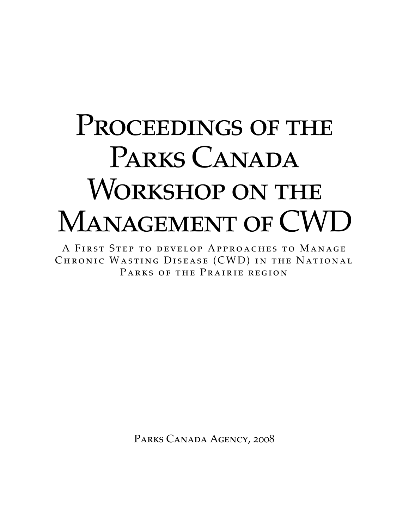# PROCEEDINGS OF THE PARKS CANADA WORKSHOP ON THE MANAGEMENT OF CWD

A First Step to develop Approaches to Manage CHRONIC WASTING DISEASE (CWD) IN THE NATIONAL Parks of the Prairie region

PARKS CANADA AGENCY, 2008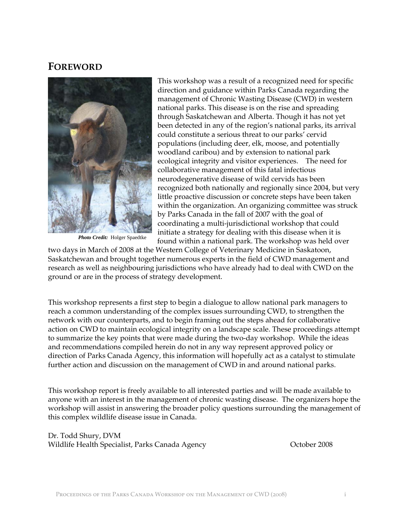## **FOREWORD**



*Photo Credit:* Holger Spaedtke

This workshop was a result of a recognized need for specific direction and guidance within Parks Canada regarding the management of Chronic Wasting Disease (CWD) in western national parks. This disease is on the rise and spreading through Saskatchewan and Alberta. Though it has not yet been detected in any of the region's national parks, its arrival could constitute a serious threat to our parks' cervid populations (including deer, elk, moose, and potentially woodland caribou) and by extension to national park ecological integrity and visitor experiences. The need for collaborative management of this fatal infectious neurodegenerative disease of wild cervids has been recognized both nationally and regionally since 2004, but very little proactive discussion or concrete steps have been taken within the organization. An organizing committee was struck by Parks Canada in the fall of 2007 with the goal of coordinating a multi-jurisdictional workshop that could initiate a strategy for dealing with this disease when it is found within a national park. The workshop was held over

two days in March of 2008 at the Western College of Veterinary Medicine in Saskatoon, Saskatchewan and brought together numerous experts in the field of CWD management and research as well as neighbouring jurisdictions who have already had to deal with CWD on the ground or are in the process of strategy development.

This workshop represents a first step to begin a dialogue to allow national park managers to reach a common understanding of the complex issues surrounding CWD, to strengthen the network with our counterparts, and to begin framing out the steps ahead for collaborative action on CWD to maintain ecological integrity on a landscape scale. These proceedings attempt to summarize the key points that were made during the two-day workshop. While the ideas and recommendations compiled herein do not in any way represent approved policy or direction of Parks Canada Agency, this information will hopefully act as a catalyst to stimulate further action and discussion on the management of CWD in and around national parks.

This workshop report is freely available to all interested parties and will be made available to anyone with an interest in the management of chronic wasting disease. The organizers hope the workshop will assist in answering the broader policy questions surrounding the management of this complex wildlife disease issue in Canada.

Dr. Todd Shury, DVM Wildlife Health Specialist, Parks Canada Agency **National Strutter Conventional** October 2008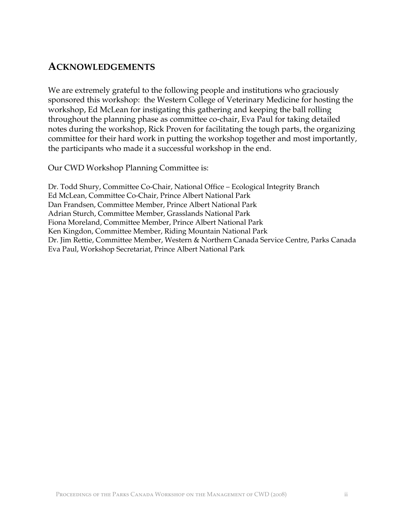## **ACKNOWLEDGEMENTS**

We are extremely grateful to the following people and institutions who graciously sponsored this workshop: the Western College of Veterinary Medicine for hosting the workshop, Ed McLean for instigating this gathering and keeping the ball rolling throughout the planning phase as committee co-chair, Eva Paul for taking detailed notes during the workshop, Rick Proven for facilitating the tough parts, the organizing committee for their hard work in putting the workshop together and most importantly, the participants who made it a successful workshop in the end.

Our CWD Workshop Planning Committee is:

Dr. Todd Shury, Committee Co-Chair, National Office – Ecological Integrity Branch Ed McLean, Committee Co-Chair, Prince Albert National Park Dan Frandsen, Committee Member, Prince Albert National Park Adrian Sturch, Committee Member, Grasslands National Park Fiona Moreland, Committee Member, Prince Albert National Park Ken Kingdon, Committee Member, Riding Mountain National Park Dr. Jim Rettie, Committee Member, Western & Northern Canada Service Centre, Parks Canada Eva Paul, Workshop Secretariat, Prince Albert National Park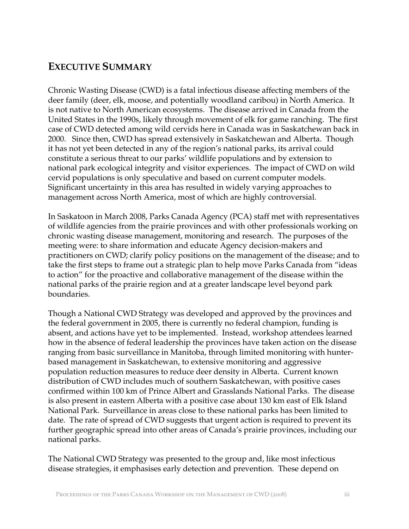## **EXECUTIVE SUMMARY**

Chronic Wasting Disease (CWD) is a fatal infectious disease affecting members of the deer family (deer, elk, moose, and potentially woodland caribou) in North America. It is not native to North American ecosystems. The disease arrived in Canada from the United States in the 1990s, likely through movement of elk for game ranching. The first case of CWD detected among wild cervids here in Canada was in Saskatchewan back in 2000. Since then, CWD has spread extensively in Saskatchewan and Alberta. Though it has not yet been detected in any of the region's national parks, its arrival could constitute a serious threat to our parks' wildlife populations and by extension to national park ecological integrity and visitor experiences. The impact of CWD on wild cervid populations is only speculative and based on current computer models. Significant uncertainty in this area has resulted in widely varying approaches to management across North America, most of which are highly controversial.

In Saskatoon in March 2008, Parks Canada Agency (PCA) staff met with representatives of wildlife agencies from the prairie provinces and with other professionals working on chronic wasting disease management, monitoring and research. The purposes of the meeting were: to share information and educate Agency decision-makers and practitioners on CWD; clarify policy positions on the management of the disease; and to take the first steps to frame out a strategic plan to help move Parks Canada from "ideas to action" for the proactive and collaborative management of the disease within the national parks of the prairie region and at a greater landscape level beyond park boundaries.

Though a National CWD Strategy was developed and approved by the provinces and the federal government in 2005, there is currently no federal champion, funding is absent, and actions have yet to be implemented. Instead, workshop attendees learned how in the absence of federal leadership the provinces have taken action on the disease ranging from basic surveillance in Manitoba, through limited monitoring with hunterbased management in Saskatchewan, to extensive monitoring and aggressive population reduction measures to reduce deer density in Alberta. Current known distribution of CWD includes much of southern Saskatchewan, with positive cases confirmed within 100 km of Prince Albert and Grasslands National Parks. The disease is also present in eastern Alberta with a positive case about 130 km east of Elk Island National Park. Surveillance in areas close to these national parks has been limited to date. The rate of spread of CWD suggests that urgent action is required to prevent its further geographic spread into other areas of Canada's prairie provinces, including our national parks.

The National CWD Strategy was presented to the group and, like most infectious disease strategies, it emphasises early detection and prevention. These depend on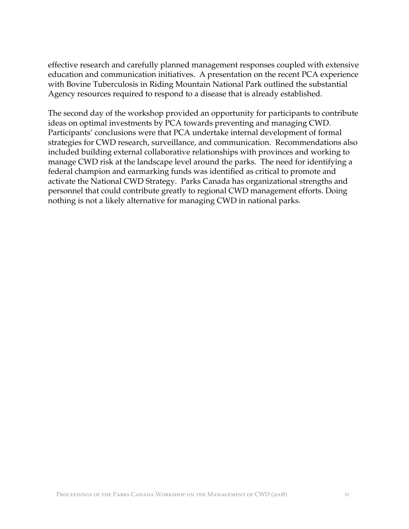effective research and carefully planned management responses coupled with extensive education and communication initiatives. A presentation on the recent PCA experience with Bovine Tuberculosis in Riding Mountain National Park outlined the substantial Agency resources required to respond to a disease that is already established.

The second day of the workshop provided an opportunity for participants to contribute ideas on optimal investments by PCA towards preventing and managing CWD. Participants' conclusions were that PCA undertake internal development of formal strategies for CWD research, surveillance, and communication. Recommendations also included building external collaborative relationships with provinces and working to manage CWD risk at the landscape level around the parks. The need for identifying a federal champion and earmarking funds was identified as critical to promote and activate the National CWD Strategy. Parks Canada has organizational strengths and personnel that could contribute greatly to regional CWD management efforts. Doing nothing is not a likely alternative for managing CWD in national parks.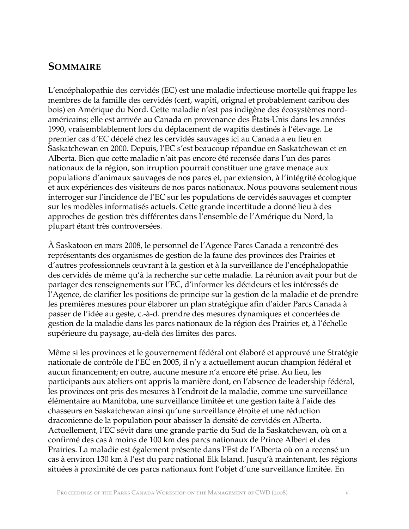## **SOMMAIRE**

L'encéphalopathie des cervidés (EC) est une maladie infectieuse mortelle qui frappe les membres de la famille des cervidés (cerf, wapiti, orignal et probablement caribou des bois) en Amérique du Nord. Cette maladie n'est pas indigène des écosystèmes nordaméricains; elle est arrivée au Canada en provenance des États-Unis dans les années 1990, vraisemblablement lors du déplacement de wapitis destinés à l'élevage. Le premier cas d'EC décelé chez les cervidés sauvages ici au Canada a eu lieu en Saskatchewan en 2000. Depuis, l'EC s'est beaucoup répandue en Saskatchewan et en Alberta. Bien que cette maladie n'ait pas encore été recensée dans l'un des parcs nationaux de la région, son irruption pourrait constituer une grave menace aux populations d'animaux sauvages de nos parcs et, par extension, à l'intégrité écologique et aux expériences des visiteurs de nos parcs nationaux. Nous pouvons seulement nous interroger sur l'incidence de l'EC sur les populations de cervidés sauvages et compter sur les modèles informatisés actuels. Cette grande incertitude a donné lieu à des approches de gestion très différentes dans l'ensemble de l'Amérique du Nord, la plupart étant très controversées.

À Saskatoon en mars 2008, le personnel de l'Agence Parcs Canada a rencontré des représentants des organismes de gestion de la faune des provinces des Prairies et d'autres professionnels œuvrant à la gestion et à la surveillance de l'encéphalopathie des cervidés de même qu'à la recherche sur cette maladie. La réunion avait pour but de partager des renseignements sur l'EC, d'informer les décideurs et les intéressés de l'Agence, de clarifier les positions de principe sur la gestion de la maladie et de prendre les premières mesures pour élaborer un plan stratégique afin d'aider Parcs Canada à passer de l'idée au geste, c.-à-d. prendre des mesures dynamiques et concertées de gestion de la maladie dans les parcs nationaux de la région des Prairies et, à l'échelle supérieure du paysage, au-delà des limites des parcs.

Même si les provinces et le gouvernement fédéral ont élaboré et approuvé une Stratégie nationale de contrôle de l'EC en 2005, il n'y a actuellement aucun champion fédéral et aucun financement; en outre, aucune mesure n'a encore été prise. Au lieu, les participants aux ateliers ont appris la manière dont, en l'absence de leadership fédéral, les provinces ont pris des mesures à l'endroit de la maladie, comme une surveillance élémentaire au Manitoba, une surveillance limitée et une gestion faite à l'aide des chasseurs en Saskatchewan ainsi qu'une surveillance étroite et une réduction draconienne de la population pour abaisser la densité de cervidés en Alberta. Actuellement, l'EC sévit dans une grande partie du Sud de la Saskatchewan, où on a confirmé des cas à moins de 100 km des parcs nationaux de Prince Albert et des Prairies. La maladie est également présente dans l'Est de l'Alberta où on a recensé un cas à environ 130 km à l'est du parc national Elk Island. Jusqu'à maintenant, les régions situées à proximité de ces parcs nationaux font l'objet d'une surveillance limitée. En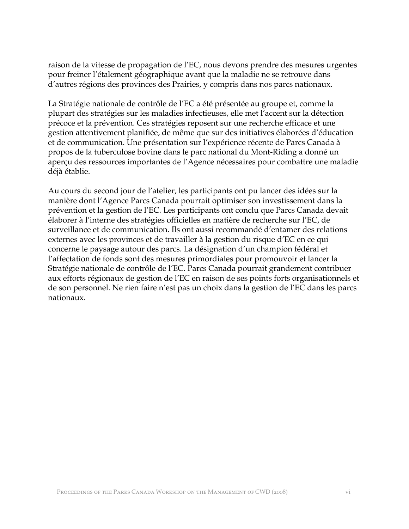raison de la vitesse de propagation de l'EC, nous devons prendre des mesures urgentes pour freiner l'étalement géographique avant que la maladie ne se retrouve dans d'autres régions des provinces des Prairies, y compris dans nos parcs nationaux.

La Stratégie nationale de contrôle de l'EC a été présentée au groupe et, comme la plupart des stratégies sur les maladies infectieuses, elle met l'accent sur la détection précoce et la prévention. Ces stratégies reposent sur une recherche efficace et une gestion attentivement planifiée, de même que sur des initiatives élaborées d'éducation et de communication. Une présentation sur l'expérience récente de Parcs Canada à propos de la tuberculose bovine dans le parc national du Mont-Riding a donné un aperçu des ressources importantes de l'Agence nécessaires pour combattre une maladie déjà établie.

Au cours du second jour de l'atelier, les participants ont pu lancer des idées sur la manière dont l'Agence Parcs Canada pourrait optimiser son investissement dans la prévention et la gestion de l'EC. Les participants ont conclu que Parcs Canada devait élaborer à l'interne des stratégies officielles en matière de recherche sur l'EC, de surveillance et de communication. Ils ont aussi recommandé d'entamer des relations externes avec les provinces et de travailler à la gestion du risque d'EC en ce qui concerne le paysage autour des parcs. La désignation d'un champion fédéral et l'affectation de fonds sont des mesures primordiales pour promouvoir et lancer la Stratégie nationale de contrôle de l'EC. Parcs Canada pourrait grandement contribuer aux efforts régionaux de gestion de l'EC en raison de ses points forts organisationnels et de son personnel. Ne rien faire n'est pas un choix dans la gestion de l'EC dans les parcs nationaux.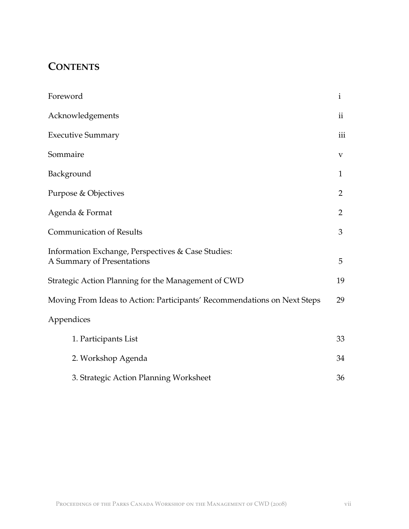## **CONTENTS**

| Foreword                                                                         | $\mathbf{i}$   |
|----------------------------------------------------------------------------------|----------------|
| Acknowledgements                                                                 | $\mathbf{ii}$  |
| <b>Executive Summary</b>                                                         | iii            |
| Sommaire                                                                         | $\bf V$        |
| Background                                                                       | 1              |
| Purpose & Objectives                                                             | 2              |
| Agenda & Format                                                                  | $\overline{2}$ |
| <b>Communication of Results</b>                                                  | 3              |
| Information Exchange, Perspectives & Case Studies:<br>A Summary of Presentations | 5              |
| Strategic Action Planning for the Management of CWD                              | 19             |
| Moving From Ideas to Action: Participants' Recommendations on Next Steps         | 29             |
| Appendices                                                                       |                |
| 1. Participants List                                                             | 33             |
| 2. Workshop Agenda                                                               | 34             |
| 3. Strategic Action Planning Worksheet                                           | 36             |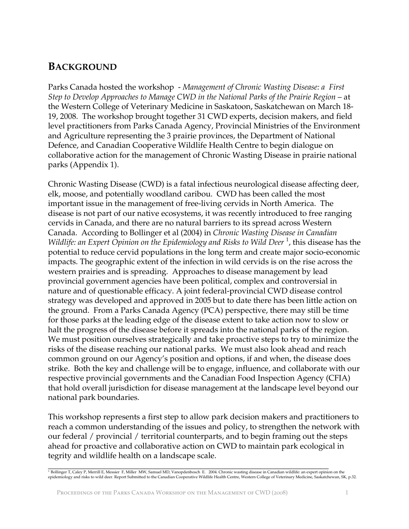## **BACKGROUND**

Parks Canada hosted the workshop - *Management of Chronic Wasting Disease: a First Step to Develop Approaches to Manage CWD in the National Parks of the Prairie Region – at* the Western College of Veterinary Medicine in Saskatoon, Saskatchewan on March 18- 19, 2008. The workshop brought together 31 CWD experts, decision makers, and field level practitioners from Parks Canada Agency, Provincial Ministries of the Environment and Agriculture representing the 3 prairie provinces, the Department of National Defence, and Canadian Cooperative Wildlife Health Centre to begin dialogue on collaborative action for the management of Chronic Wasting Disease in prairie national parks (Appendix 1).

Chronic Wasting Disease (CWD) is a fatal infectious neurological disease affecting deer, elk, moose, and potentially woodland caribou. CWD has been called the most important issue in the management of free-living cervids in North America. The disease is not part of our native ecosystems, it was recently introduced to free ranging cervids in Canada, and there are no natural barriers to its spread across Western Canada. According to Bollinger et al (2004) in *Chronic Wasting Disease in Canadian*  Wildlife: an Expert Opinion on the Epidemiology and Risks to Wild Deer<sup>1</sup>, this disease has the potential to reduce cervid populations in the long term and create major socio-economic impacts. The geographic extent of the infection in wild cervids is on the rise across the western prairies and is spreading. Approaches to disease management by lead provincial government agencies have been political, complex and controversial in nature and of questionable efficacy. A joint federal-provincial CWD disease control strategy was developed and approved in 2005 but to date there has been little action on the ground. From a Parks Canada Agency (PCA) perspective, there may still be time for those parks at the leading edge of the disease extent to take action now to slow or halt the progress of the disease before it spreads into the national parks of the region. We must position ourselves strategically and take proactive steps to try to minimize the risks of the disease reaching our national parks. We must also look ahead and reach common ground on our Agency's position and options, if and when, the disease does strike. Both the key and challenge will be to engage, influence, and collaborate with our respective provincial governments and the Canadian Food Inspection Agency (CFIA) that hold overall jurisdiction for disease management at the landscape level beyond our national park boundaries.

This workshop represents a first step to allow park decision makers and practitioners to reach a common understanding of the issues and policy, to strengthen the network with our federal / provincial / territorial counterparts, and to begin framing out the steps ahead for proactive and collaborative action on CWD to maintain park ecological in tegrity and wildlife health on a landscape scale.

<sup>.&</sup>lt;br><sup>1</sup> Bollinger T, Caley P, Merrill E, Messier F, Miller MW, Samuel MD, Vanopdenbosch E. 2004. Chronic wasting disease in Canadian wildlife: an expert opinion on the<br>epidemiology and risks to wild deer. Report Submitted to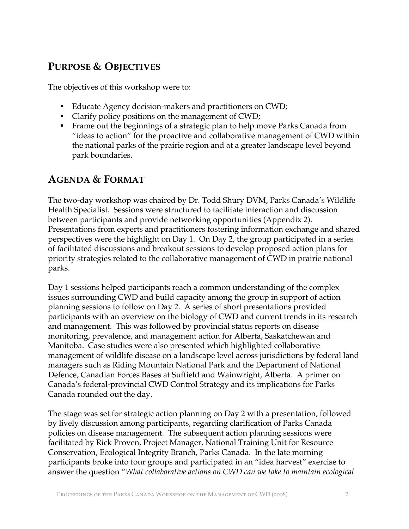## **PURPOSE & OBJECTIVES**

The objectives of this workshop were to:

- Educate Agency decision-makers and practitioners on CWD;
- Clarify policy positions on the management of CWD;
- Frame out the beginnings of a strategic plan to help move Parks Canada from "ideas to action" for the proactive and collaborative management of CWD within the national parks of the prairie region and at a greater landscape level beyond park boundaries.

## **AGENDA & FORMAT**

The two-day workshop was chaired by Dr. Todd Shury DVM, Parks Canada's Wildlife Health Specialist. Sessions were structured to facilitate interaction and discussion between participants and provide networking opportunities (Appendix 2). Presentations from experts and practitioners fostering information exchange and shared perspectives were the highlight on Day 1. On Day 2, the group participated in a series of facilitated discussions and breakout sessions to develop proposed action plans for priority strategies related to the collaborative management of CWD in prairie national parks.

Day 1 sessions helped participants reach a common understanding of the complex issues surrounding CWD and build capacity among the group in support of action planning sessions to follow on Day 2. A series of short presentations provided participants with an overview on the biology of CWD and current trends in its research and management. This was followed by provincial status reports on disease monitoring, prevalence, and management action for Alberta, Saskatchewan and Manitoba. Case studies were also presented which highlighted collaborative management of wildlife disease on a landscape level across jurisdictions by federal land managers such as Riding Mountain National Park and the Department of National Defence, Canadian Forces Bases at Suffield and Wainwright, Alberta. A primer on Canada's federal-provincial CWD Control Strategy and its implications for Parks Canada rounded out the day.

The stage was set for strategic action planning on Day 2 with a presentation, followed by lively discussion among participants, regarding clarification of Parks Canada policies on disease management. The subsequent action planning sessions were facilitated by Rick Proven, Project Manager, National Training Unit for Resource Conservation, Ecological Integrity Branch, Parks Canada. In the late morning participants broke into four groups and participated in an "idea harvest" exercise to answer the question "*What collaborative actions on CWD can we take to maintain ecological*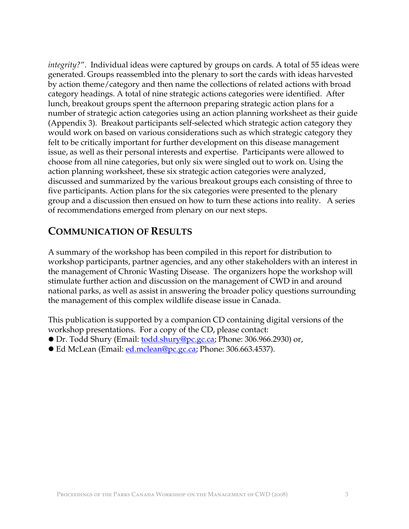*integrity?*". Individual ideas were captured by groups on cards. A total of 55 ideas were generated. Groups reassembled into the plenary to sort the cards with ideas harvested by action theme/category and then name the collections of related actions with broad category headings. A total of nine strategic actions categories were identified. After lunch, breakout groups spent the afternoon preparing strategic action plans for a number of strategic action categories using an action planning worksheet as their guide (Appendix 3). Breakout participants self-selected which strategic action category they would work on based on various considerations such as which strategic category they felt to be critically important for further development on this disease management issue, as well as their personal interests and expertise. Participants were allowed to choose from all nine categories, but only six were singled out to work on. Using the action planning worksheet, these six strategic action categories were analyzed, discussed and summarized by the various breakout groups each consisting of three to five participants. Action plans for the six categories were presented to the plenary group and a discussion then ensued on how to turn these actions into reality. A series of recommendations emerged from plenary on our next steps.

## **COMMUNICATION OF RESULTS**

A summary of the workshop has been compiled in this report for distribution to workshop participants, partner agencies, and any other stakeholders with an interest in the management of Chronic Wasting Disease. The organizers hope the workshop will stimulate further action and discussion on the management of CWD in and around national parks, as well as assist in answering the broader policy questions surrounding the management of this complex wildlife disease issue in Canada.

This publication is supported by a companion CD containing digital versions of the workshop presentations. For a copy of the CD, please contact:

- Dr. Todd Shury (Email: <u>todd.shury@pc.gc.ca</u>; Phone: 306.966.2930) or,
- Ed McLean (Email: [ed.mclean@pc.gc.ca](mailto:ed.mclean@pc.gc.ca); Phone: 306.663.4537).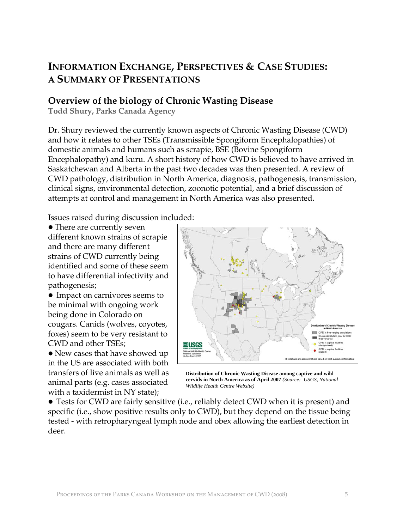## **INFORMATION EXCHANGE, PERSPECTIVES & CASE STUDIES: A SUMMARY OF PRESENTATIONS**

## **Overview of the biology of Chronic Wasting Disease**

**Todd Shury, Parks Canada Agency** 

Dr. Shury reviewed the currently known aspects of Chronic Wasting Disease (CWD) and how it relates to other TSEs (Transmissible Spongiform Encephalopathies) of domestic animals and humans such as scrapie, BSE (Bovine Spongiform Encephalopathy) and kuru. A short history of how CWD is believed to have arrived in Saskatchewan and Alberta in the past two decades was then presented. A review of CWD pathology, distribution in North America, diagnosis, pathogenesis, transmission, clinical signs, environmental detection, zoonotic potential, and a brief discussion of attempts at control and management in North America was also presented.

Issues raised during discussion included:

• There are currently seven different known strains of scrapie and there are many different strains of CWD currently being identified and some of these seem to have differential infectivity and pathogenesis;

• Impact on carnivores seems to be minimal with ongoing work being done in Colorado on cougars. Canids (wolves, coyotes, foxes) seem to be very resistant to CWD and other TSEs;

• New cases that have showed up in the US are associated with both transfers of live animals as well as animal parts (e.g. cases associated with a taxidermist in NY state);



**Distribution of Chronic Wasting Disease among captive and wild cervids in North America as of April 2007** *(Source: USGS, National Wildlife Health Centre Website)*

• Tests for CWD are fairly sensitive (i.e., reliably detect CWD when it is present) and specific (i.e., show positive results only to CWD), but they depend on the tissue being tested - with retropharyngeal lymph node and obex allowing the earliest detection in deer.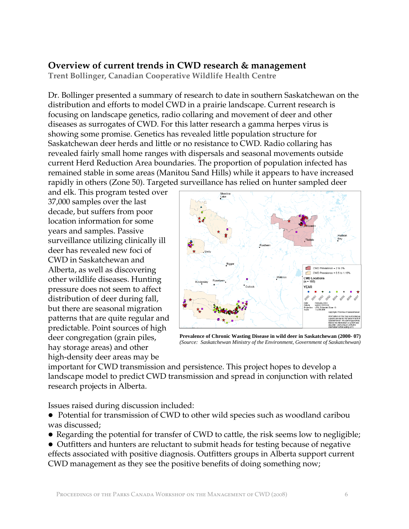## **Overview of current trends in CWD research & management**

**Trent Bollinger, Canadian Cooperative Wildlife Health Centre** 

Dr. Bollinger presented a summary of research to date in southern Saskatchewan on the distribution and efforts to model CWD in a prairie landscape. Current research is focusing on landscape genetics, radio collaring and movement of deer and other diseases as surrogates of CWD. For this latter research a gamma herpes virus is showing some promise. Genetics has revealed little population structure for Saskatchewan deer herds and little or no resistance to CWD. Radio collaring has revealed fairly small home ranges with dispersals and seasonal movements outside current Herd Reduction Area boundaries. The proportion of population infected has remained stable in some areas (Manitou Sand Hills) while it appears to have increased rapidly in others (Zone 50). Targeted surveillance has relied on hunter sampled deer

and elk. This program tested over 37,000 samples over the last decade, but suffers from poor location information for some years and samples. Passive surveillance utilizing clinically ill deer has revealed new foci of CWD in Saskatchewan and Alberta, as well as discovering other wildlife diseases. Hunting pressure does not seem to affect distribution of deer during fall, but there are seasonal migration patterns that are quite regular and predictable. Point sources of high deer congregation (grain piles, hay storage areas) and other high-density deer areas may be



**Prevalence of Chronic Wasting Disease in wild deer in Saskatchewan (2000- 07)**  *(Source: Saskatchewan Ministry of the Environment, Government of Saskatchewan)*

important for CWD transmission and persistence. This project hopes to develop a landscape model to predict CWD transmission and spread in conjunction with related research projects in Alberta.

Issues raised during discussion included:

- Potential for transmission of CWD to other wild species such as woodland caribou was discussed;
- Regarding the potential for transfer of CWD to cattle, the risk seems low to negligible;
- Outfitters and hunters are reluctant to submit heads for testing because of negative effects associated with positive diagnosis. Outfitters groups in Alberta support current CWD management as they see the positive benefits of doing something now;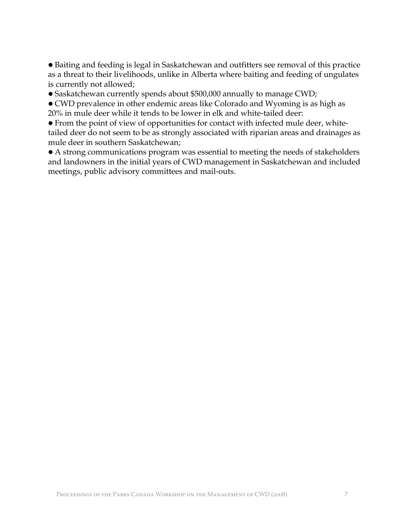• Baiting and feeding is legal in Saskatchewan and outfitters see removal of this practice as a threat to their livelihoods, unlike in Alberta where baiting and feeding of ungulates is currently not allowed;

• Saskatchewan currently spends about \$500,000 annually to manage CWD;

• CWD prevalence in other endemic areas like Colorado and Wyoming is as high as 20% in mule deer while it tends to be lower in elk and white-tailed deer:

• From the point of view of opportunities for contact with infected mule deer, whitetailed deer do not seem to be as strongly associated with riparian areas and drainages as mule deer in southern Saskatchewan;

• A strong communications program was essential to meeting the needs of stakeholders and landowners in the initial years of CWD management in Saskatchewan and included meetings, public advisory committees and mail-outs.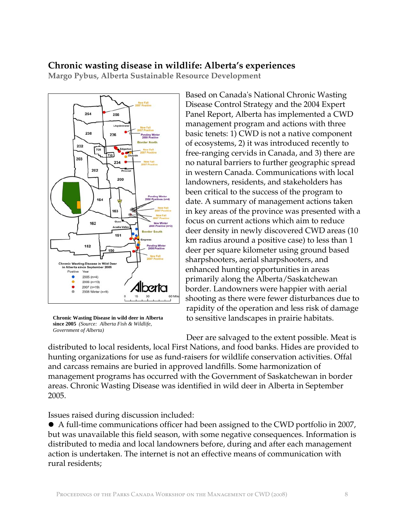## **Chronic wasting disease in wildlife: Alberta's experiences**

**Margo Pybus, Alberta Sustainable Resource Development** 



**Chronic Wasting Disease in wild deer in Alberta since 2005** *(Source: Alberta Fish & Wildlife, Government of Alberta)*

Based on Canada's National Chronic Wasting Disease Control Strategy and the 2004 Expert Panel Report, Alberta has implemented a CWD management program and actions with three basic tenets: 1) CWD is not a native component of ecosystems, 2) it was introduced recently to free-ranging cervids in Canada, and 3) there are no natural barriers to further geographic spread in western Canada. Communications with local landowners, residents, and stakeholders has been critical to the success of the program to date. A summary of management actions taken in key areas of the province was presented with a focus on current actions which aim to reduce deer density in newly discovered CWD areas (10 km radius around a positive case) to less than 1 deer per square kilometer using ground based sharpshooters, aerial sharpshooters, and enhanced hunting opportunities in areas primarily along the Alberta/Saskatchewan border. Landowners were happier with aerial shooting as there were fewer disturbances due to rapidity of the operation and less risk of damage to sensitive landscapes in prairie habitats.

Deer are salvaged to the extent possible. Meat is distributed to local residents, local First Nations, and food banks. Hides are provided to hunting organizations for use as fund-raisers for wildlife conservation activities. Offal and carcass remains are buried in approved landfills. Some harmonization of management programs has occurred with the Government of Saskatchewan in border areas. Chronic Wasting Disease was identified in wild deer in Alberta in September 2005.

Issues raised during discussion included:

• A full-time communications officer had been assigned to the CWD portfolio in 2007, but was unavailable this field season, with some negative consequences. Information is distributed to media and local landowners before, during and after each management action is undertaken. The internet is not an effective means of communication with rural residents;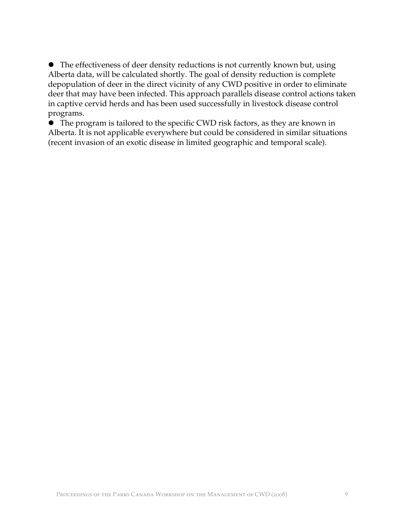• The effectiveness of deer density reductions is not currently known but, using Alberta data, will be calculated shortly. The goal of density reduction is complete depopulation of deer in the direct vicinity of any CWD positive in order to eliminate deer that may have been infected. This approach parallels disease control actions taken in captive cervid herds and has been used successfully in livestock disease control programs.

**•** The program is tailored to the specific CWD risk factors, as they are known in Alberta. It is not applicable everywhere but could be considered in similar situations (recent invasion of an exotic disease in limited geographic and temporal scale).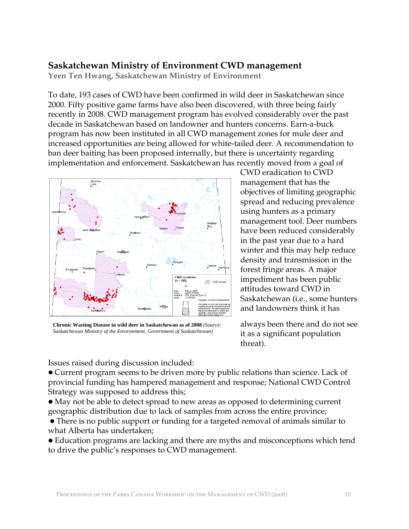## **Saskatchewan Ministry of Environment CWD management**

**Yeen Ten Hwang, Saskatchewan Ministry of Environment** 

To date, 193 cases of CWD have been confirmed in wild deer in Saskatchewan since 2000. Fifty positive game farms have also been discovered, with three being fairly recently in 2008. CWD management program has evolved considerably over the past decade in Saskatchewan based on landowner and hunters concerns. Earn-a-buck program has now been instituted in all CWD management zones for mule deer and increased opportunities are being allowed for white-tailed deer. A recommendation to ban deer baiting has been proposed internally, but there is uncertainty regarding implementation and enforcement. Saskatchewan has recently moved from a goal of



**Chronic Wasting Disease in wild deer in Saskatchewan as of 2008** *(Source: Saskatchewan Ministry of the Environment, Government of Saskatchewan)*

CWD eradication to CWD management that has the objectives of limiting geographic spread and reducing prevalence using hunters as a primary management tool. Deer numbers have been reduced considerably in the past year due to a hard winter and this may help reduce density and transmission in the forest fringe areas. A major impediment has been public attitudes toward CWD in Saskatchewan (i.e., some hunters and landowners think it has

always been there and do not see it as a significant population threat).

Issues raised during discussion included:

• Current program seems to be driven more by public relations than science. Lack of provincial funding has hampered management and response; National CWD Control Strategy was supposed to address this;

• May not be able to detect spread to new areas as opposed to determining current geographic distribution due to lack of samples from across the entire province;

• There is no public support or funding for a targeted removal of animals similar to what Alberta has undertaken;

• Education programs are lacking and there are myths and misconceptions which tend to drive the public's responses to CWD management.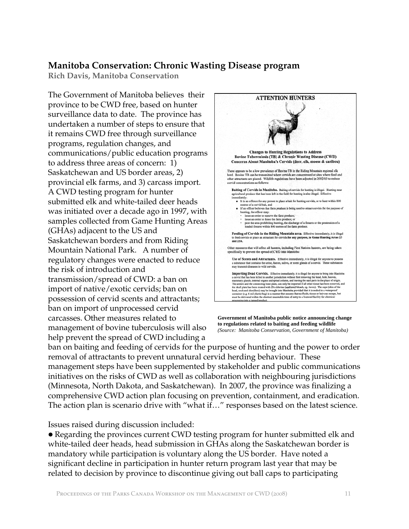### **Manitoba Conservation: Chronic Wasting Disease program**

**Rich Davis, Manitoba Conservation** 

The Government of Manitoba believes their province to be CWD free, based on hunter surveillance data to date. The province has undertaken a number of steps to ensure that it remains CWD free through surveillance programs, regulation changes, and communications/public education programs to address three areas of concern: 1) Saskatchewan and US border areas, 2) provincial elk farms, and 3) carcass import. A CWD testing program for hunter submitted elk and white-tailed deer heads was initiated over a decade ago in 1997, with samples collected from Game Hunting Areas (GHAs) adjacent to the US and Saskatchewan borders and from Riding Mountain National Park. A number of regulatory changes were enacted to reduce the risk of introduction and transmission/spread of CWD: a ban on import of native/exotic cervids; ban on possession of cervid scents and attractants; ban on import of unprocessed cervid carcasses. Other measures related to management of bovine tuberculosis will also help prevent the spread of CWD including a



**Government of Manitoba public notice announcing change to regulations related to baiting and feeding wildlife**  *(Source: Manitoba Conservation, Government of Manitoba)*

ban on baiting and feeding of cervids for the purpose of hunting and the power to order removal of attractants to prevent unnatural cervid herding behaviour. These management steps have been supplemented by stakeholder and public communications initiatives on the risks of CWD as well as collaboration with neighbouring jurisdictions (Minnesota, North Dakota, and Saskatchewan). In 2007, the province was finalizing a comprehensive CWD action plan focusing on prevention, containment, and eradication. The action plan is scenario drive with "what if…" responses based on the latest science.

Issues raised during discussion included:

• Regarding the provinces current CWD testing program for hunter submitted elk and white-tailed deer heads, head submission in GHAs along the Saskatchewan border is mandatory while participation is voluntary along the US border. Have noted a significant decline in participation in hunter return program last year that may be related to decision by province to discontinue giving out ball caps to participating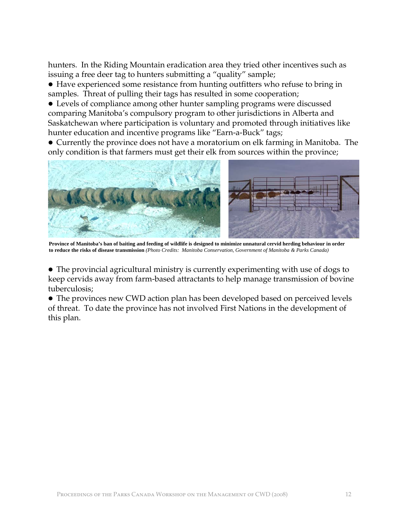hunters. In the Riding Mountain eradication area they tried other incentives such as issuing a free deer tag to hunters submitting a "quality" sample;

• Have experienced some resistance from hunting outfitters who refuse to bring in samples. Threat of pulling their tags has resulted in some cooperation;

• Levels of compliance among other hunter sampling programs were discussed comparing Manitoba's compulsory program to other jurisdictions in Alberta and Saskatchewan where participation is voluntary and promoted through initiatives like hunter education and incentive programs like "Earn-a-Buck" tags;

• Currently the province does not have a moratorium on elk farming in Manitoba. The only condition is that farmers must get their elk from sources within the province;



**Province of Manitoba's ban of baiting and feeding of wildlife is designed to minimize unnatural cervid herding behaviour in order to reduce the risks of disease transmission** *(Photo Credits: Manitoba Conservation, Government of Manitoba & Parks Canada)*

• The provincial agricultural ministry is currently experimenting with use of dogs to keep cervids away from farm-based attractants to help manage transmission of bovine tuberculosis;

• The provinces new CWD action plan has been developed based on perceived levels of threat. To date the province has not involved First Nations in the development of this plan.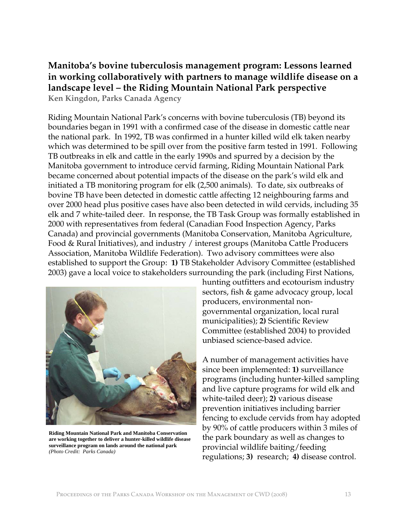## **Manitoba's bovine tuberculosis management program: Lessons learned in working collaboratively with partners to manage wildlife disease on a landscape level – the Riding Mountain National Park perspective Ken Kingdon, Parks Canada Agency**

Riding Mountain National Park's concerns with bovine tuberculosis (TB) beyond its boundaries began in 1991 with a confirmed case of the disease in domestic cattle near the national park. In 1992, TB was confirmed in a hunter killed wild elk taken nearby which was determined to be spill over from the positive farm tested in 1991. Following TB outbreaks in elk and cattle in the early 1990s and spurred by a decision by the Manitoba government to introduce cervid farming, Riding Mountain National Park became concerned about potential impacts of the disease on the park's wild elk and initiated a TB monitoring program for elk (2,500 animals). To date, six outbreaks of bovine TB have been detected in domestic cattle affecting 12 neighbouring farms and over 2000 head plus positive cases have also been detected in wild cervids, including 35 elk and 7 white-tailed deer. In response, the TB Task Group was formally established in 2000 with representatives from federal (Canadian Food Inspection Agency, Parks Canada) and provincial governments (Manitoba Conservation, Manitoba Agriculture, Food & Rural Initiatives), and industry / interest groups (Manitoba Cattle Producers Association, Manitoba Wildlife Federation). Two advisory committees were also established to support the Group: **1)** TB Stakeholder Advisory Committee (established 2003) gave a local voice to stakeholders surrounding the park (including First Nations,



**Riding Mountain National Park and Manitoba Conservation are working together to deliver a hunter-killed wildlife disease surveillance program on lands around the national park** *(Photo Credit: Parks Canada)*

hunting outfitters and ecotourism industry sectors, fish & game advocacy group, local producers, environmental nongovernmental organization, local rural municipalities); **2)** Scientific Review Committee (established 2004) to provided unbiased science-based advice.

A number of management activities have since been implemented: **1)** surveillance programs (including hunter-killed sampling and live capture programs for wild elk and white-tailed deer); **2)** various disease prevention initiatives including barrier fencing to exclude cervids from hay adopted by 90% of cattle producers within 3 miles of the park boundary as well as changes to provincial wildlife baiting/feeding regulations; **3)** research; **4)** disease control.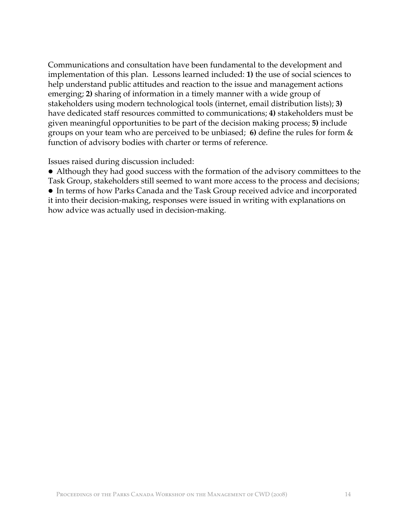Communications and consultation have been fundamental to the development and implementation of this plan. Lessons learned included: **1)** the use of social sciences to help understand public attitudes and reaction to the issue and management actions emerging; **2)** sharing of information in a timely manner with a wide group of stakeholders using modern technological tools (internet, email distribution lists); **3)** have dedicated staff resources committed to communications; **4)** stakeholders must be given meaningful opportunities to be part of the decision making process; **5)** include groups on your team who are perceived to be unbiased; **6)** define the rules for form & function of advisory bodies with charter or terms of reference.

Issues raised during discussion included:

• Although they had good success with the formation of the advisory committees to the Task Group, stakeholders still seemed to want more access to the process and decisions; • In terms of how Parks Canada and the Task Group received advice and incorporated it into their decision-making, responses were issued in writing with explanations on how advice was actually used in decision-making.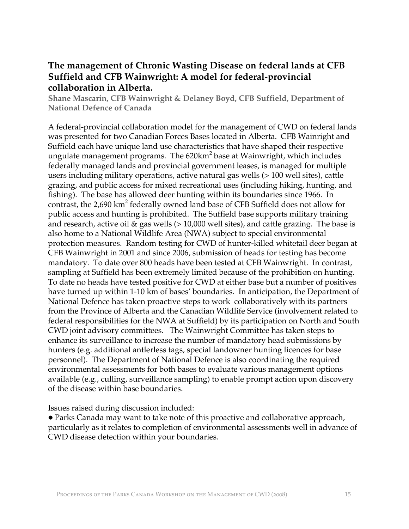## **The management of Chronic Wasting Disease on federal lands at CFB Suffield and CFB Wainwright: A model for federal-provincial collaboration in Alberta.**

**Shane Mascarin, CFB Wainwright & Delaney Boyd, CFB Suffield, Department of National Defence of Canada** 

A federal-provincial collaboration model for the management of CWD on federal lands was presented for two Canadian Forces Bases located in Alberta. CFB Wainright and Suffield each have unique land use characteristics that have shaped their respective ungulate management programs. The 620km<sup>2</sup> base at Wainwright, which includes federally managed lands and provincial government leases, is managed for multiple users including military operations, active natural gas wells (> 100 well sites), cattle grazing, and public access for mixed recreational uses (including hiking, hunting, and fishing). The base has allowed deer hunting within its boundaries since 1966. In contrast, the 2,690  $\mathrm{km}^2$  federally owned land base of CFB Suffield does not allow for public access and hunting is prohibited. The Suffield base supports military training and research, active oil & gas wells (> 10,000 well sites), and cattle grazing. The base is also home to a National Wildlife Area (NWA) subject to special environmental protection measures. Random testing for CWD of hunter-killed whitetail deer began at CFB Wainwright in 2001 and since 2006, submission of heads for testing has become mandatory. To date over 800 heads have been tested at CFB Wainwright. In contrast, sampling at Suffield has been extremely limited because of the prohibition on hunting. To date no heads have tested positive for CWD at either base but a number of positives have turned up within 1-10 km of bases' boundaries. In anticipation, the Department of National Defence has taken proactive steps to work collaboratively with its partners from the Province of Alberta and the Canadian Wildlife Service (involvement related to federal responsibilities for the NWA at Suffield) by its participation on North and South CWD joint advisory committees. The Wainwright Committee has taken steps to enhance its surveillance to increase the number of mandatory head submissions by hunters (e.g. additional antlerless tags, special landowner hunting licences for base personnel). The Department of National Defence is also coordinating the required environmental assessments for both bases to evaluate various management options available (e.g., culling, surveillance sampling) to enable prompt action upon discovery of the disease within base boundaries.

Issues raised during discussion included:

• Parks Canada may want to take note of this proactive and collaborative approach, particularly as it relates to completion of environmental assessments well in advance of CWD disease detection within your boundaries.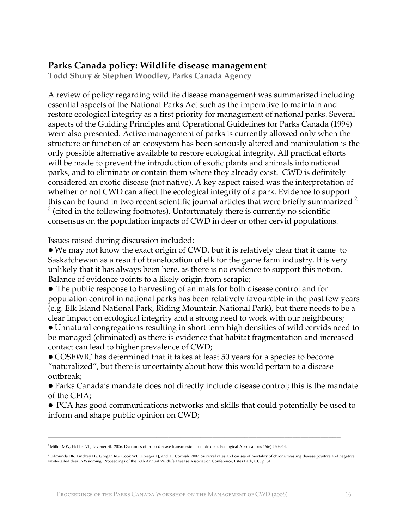## **Parks Canada policy: Wildlife disease management**

**Todd Shury & Stephen Woodley, Parks Canada Agency** 

A review of policy regarding wildlife disease management was summarized including essential aspects of the National Parks Act such as the imperative to maintain and restore ecological integrity as a first priority for management of national parks. Several aspects of the Guiding Principles and Operational Guidelines for Parks Canada (1994) were also presented. Active management of parks is currently allowed only when the structure or function of an ecosystem has been seriously altered and manipulation is the only possible alternative available to restore ecological integrity. All practical efforts will be made to prevent the introduction of exotic plants and animals into national parks, and to eliminate or contain them where they already exist. CWD is definitely considered an exotic disease (not native). A key aspect raised was the interpretation of whether or not CWD can affect the ecological integrity of a park. Evidence to support this can be found in two recent scientific journal articles that were briefly summarized  $2$ ,  $3$  (cited in the following footnotes). Unfortunately there is currently no scientific consensus on the population impacts of CWD in deer or other cervid populations.

Issues raised during discussion included:

• We may not know the exact origin of CWD, but it is relatively clear that it came to Saskatchewan as a result of translocation of elk for the game farm industry. It is very unlikely that it has always been here, as there is no evidence to support this notion. Balance of evidence points to a likely origin from scrapie;

• The public response to harvesting of animals for both disease control and for population control in national parks has been relatively favourable in the past few years (e.g. Elk Island National Park, Riding Mountain National Park), but there needs to be a clear impact on ecological integrity and a strong need to work with our neighbours;

• Unnatural congregations resulting in short term high densities of wild cervids need to be managed (eliminated) as there is evidence that habitat fragmentation and increased contact can lead to higher prevalence of CWD;

• COSEWIC has determined that it takes at least 50 years for a species to become "naturalized", but there is uncertainty about how this would pertain to a disease outbreak;

• Parks Canada's mandate does not directly include disease control; this is the mandate of the CFIA;

• PCA has good communications networks and skills that could potentially be used to inform and shape public opinion on CWD;

\_\_\_\_\_\_\_\_\_\_\_\_\_\_\_\_\_\_\_\_\_\_\_\_\_\_\_\_\_\_\_\_\_\_\_\_\_\_\_\_\_\_\_\_\_\_\_\_\_\_\_\_\_\_\_\_\_\_\_\_\_\_\_\_\_\_\_\_\_\_\_\_\_

<sup>2</sup> Miller MW, Hobbs NT, Tavener SJ. 2006. Dynamics of prion disease transmission in mule deer. Ecological Applications 16(6):2208-14.

<sup>&</sup>lt;sup>3</sup> Edmunds DR, Lindzey FG, Grogan RG, Cook WE, Kreeger TJ, and TE Cornish. 2007. Survival rates and causes of mortality of chronic wasting disease positive and negative<br>white-tailed deer in Wyoming. Proceedings of the 56t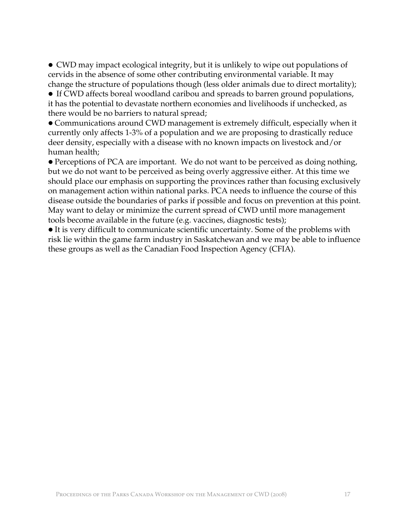• CWD may impact ecological integrity, but it is unlikely to wipe out populations of cervids in the absence of some other contributing environmental variable. It may change the structure of populations though (less older animals due to direct mortality);

• If CWD affects boreal woodland caribou and spreads to barren ground populations, it has the potential to devastate northern economies and livelihoods if unchecked, as there would be no barriers to natural spread;

• Communications around CWD management is extremely difficult, especially when it currently only affects 1-3% of a population and we are proposing to drastically reduce deer density, especially with a disease with no known impacts on livestock and/or human health;

• Perceptions of PCA are important. We do not want to be perceived as doing nothing, but we do not want to be perceived as being overly aggressive either. At this time we should place our emphasis on supporting the provinces rather than focusing exclusively on management action within national parks. PCA needs to influence the course of this disease outside the boundaries of parks if possible and focus on prevention at this point. May want to delay or minimize the current spread of CWD until more management tools become available in the future (e.g. vaccines, diagnostic tests);

• It is very difficult to communicate scientific uncertainty. Some of the problems with risk lie within the game farm industry in Saskatchewan and we may be able to influence these groups as well as the Canadian Food Inspection Agency (CFIA).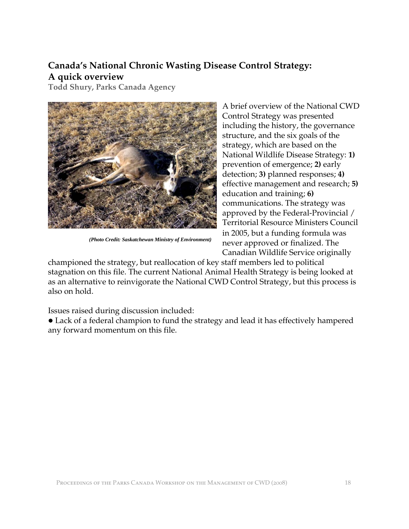## **Canada's National Chronic Wasting Disease Control Strategy: A quick overview**

**Todd Shury, Parks Canada Agency** 



 *(Photo Credit: Saskatchewan Ministry of Environment)*

A brief overview of the National CWD Control Strategy was presented including the history, the governance structure, and the six goals of the strategy, which are based on the National Wildlife Disease Strategy: **1)** prevention of emergence; **2)** early detection; **3)** planned responses; **4)** effective management and research; **5)** education and training; **6)** communications. The strategy was approved by the Federal-Provincial / Territorial Resource Ministers Council in 2005, but a funding formula was never approved or finalized. The Canadian Wildlife Service originally

championed the strategy, but reallocation of key staff members led to political stagnation on this file. The current National Animal Health Strategy is being looked at as an alternative to reinvigorate the National CWD Control Strategy, but this process is also on hold.

Issues raised during discussion included:

• Lack of a federal champion to fund the strategy and lead it has effectively hampered any forward momentum on this file.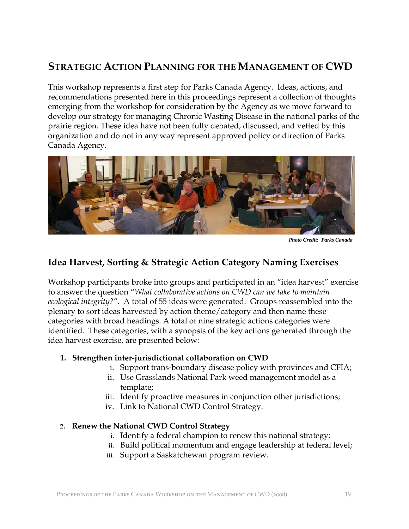## **STRATEGIC ACTION PLANNING FOR THE MANAGEMENT OF CWD**

This workshop represents a first step for Parks Canada Agency. Ideas, actions, and recommendations presented here in this proceedings represent a collection of thoughts emerging from the workshop for consideration by the Agency as we move forward to develop our strategy for managing Chronic Wasting Disease in the national parks of the prairie region. These idea have not been fully debated, discussed, and vetted by this organization and do not in any way represent approved policy or direction of Parks Canada Agency.



*Photo Credit: Parks Canada*

## **Idea Harvest, Sorting & Strategic Action Category Naming Exercises**

Workshop participants broke into groups and participated in an "idea harvest" exercise to answer the question "*What collaborative actions on CWD can we take to maintain ecological integrity?*". A total of 55 ideas were generated. Groups reassembled into the plenary to sort ideas harvested by action theme/category and then name these categories with broad headings. A total of nine strategic actions categories were identified. These categories, with a synopsis of the key actions generated through the idea harvest exercise, are presented below:

#### **1. Strengthen inter-jurisdictional collaboration on CWD**

- i. Support trans-boundary disease policy with provinces and CFIA;
- ii. Use Grasslands National Park weed management model as a template;
- iii. Identify proactive measures in conjunction other jurisdictions;
- iv. Link to National CWD Control Strategy.

#### **2. Renew the National CWD Control Strategy**

- i. Identify a federal champion to renew this national strategy;
- ii. Build political momentum and engage leadership at federal level;
- iii. Support a Saskatchewan program review.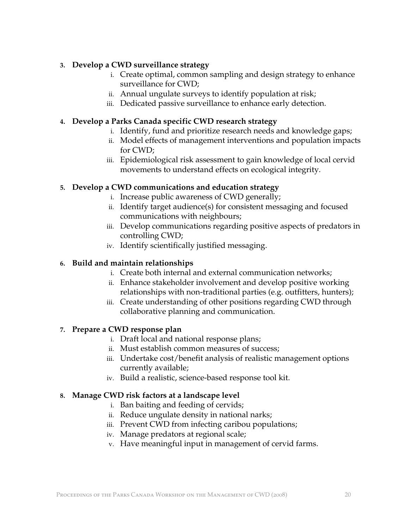#### **3. Develop a CWD surveillance strategy**

- i. Create optimal, common sampling and design strategy to enhance surveillance for CWD;
- ii. Annual ungulate surveys to identify population at risk;
- iii. Dedicated passive surveillance to enhance early detection.

#### **4. Develop a Parks Canada specific CWD research strategy**

- i. Identify, fund and prioritize research needs and knowledge gaps;
- ii. Model effects of management interventions and population impacts for CWD;
- iii. Epidemiological risk assessment to gain knowledge of local cervid movements to understand effects on ecological integrity.

#### **5. Develop a CWD communications and education strategy**

- i. Increase public awareness of CWD generally;
- ii. Identify target audience(s) for consistent messaging and focused communications with neighbours;
- iii. Develop communications regarding positive aspects of predators in controlling CWD;
- iv. Identify scientifically justified messaging.

#### **6. Build and maintain relationships**

- i. Create both internal and external communication networks;
- ii. Enhance stakeholder involvement and develop positive working relationships with non-traditional parties (e.g. outfitters, hunters);
- iii. Create understanding of other positions regarding CWD through collaborative planning and communication.

#### **7. Prepare a CWD response plan**

- i. Draft local and national response plans;
- ii. Must establish common measures of success;
- iii. Undertake cost/benefit analysis of realistic management options currently available;
- iv. Build a realistic, science-based response tool kit.

#### **8. Manage CWD risk factors at a landscape level**

- i. Ban baiting and feeding of cervids;
- ii. Reduce ungulate density in national narks;
- iii. Prevent CWD from infecting caribou populations;
- iv. Manage predators at regional scale;
- v. Have meaningful input in management of cervid farms.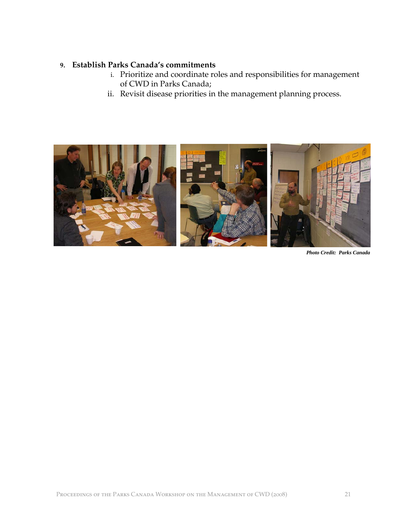#### **9. Establish Parks Canada's commitments**

- i. Prioritize and coordinate roles and responsibilities for management of CWD in Parks Canada;
- ii. Revisit disease priorities in the management planning process.



*Photo Credit: Parks Canada*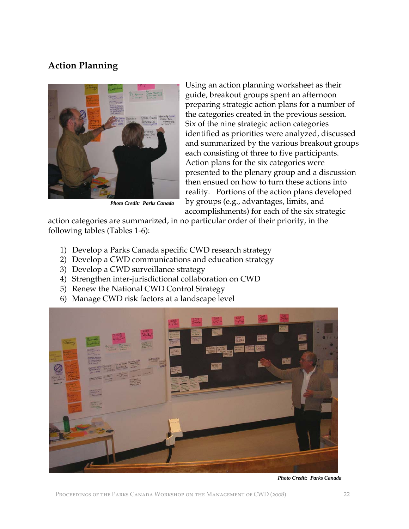## **Action Planning**



*Photo Credit: Parks Canada*

Using an action planning worksheet as their guide, breakout groups spent an afternoon preparing strategic action plans for a number of the categories created in the previous session. Six of the nine strategic action categories identified as priorities were analyzed, discussed and summarized by the various breakout groups each consisting of three to five participants. Action plans for the six categories were presented to the plenary group and a discussion then ensued on how to turn these actions into reality. Portions of the action plans developed by groups (e.g., advantages, limits, and accomplishments) for each of the six strategic

action categories are summarized, in no particular order of their priority, in the following tables (Tables 1-6):

- 1) Develop a Parks Canada specific CWD research strategy
- 2) Develop a CWD communications and education strategy
- 3) Develop a CWD surveillance strategy
- 4) Strengthen inter-jurisdictional collaboration on CWD
- 5) Renew the National CWD Control Strategy
- 6) Manage CWD risk factors at a landscape level



*Photo Credit: Parks Canada*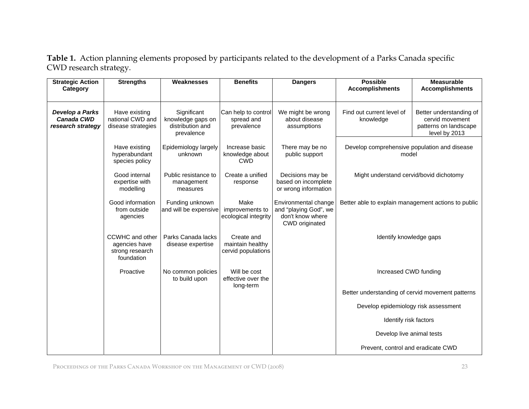**Table 1.** Action planning elements proposed by participants related to the development of a Parks Canada specific CWD research strategy.

| <b>Strategic Action</b><br>Category                       | <b>Strengths</b>                                                  | Weaknesses                                                         | <b>Benefits</b>                                      | <b>Dangers</b>                                                                      | <b>Possible</b><br><b>Accomplishments</b>             | <b>Measurable</b><br><b>Accomplishments</b>                                          |
|-----------------------------------------------------------|-------------------------------------------------------------------|--------------------------------------------------------------------|------------------------------------------------------|-------------------------------------------------------------------------------------|-------------------------------------------------------|--------------------------------------------------------------------------------------|
|                                                           |                                                                   |                                                                    |                                                      |                                                                                     |                                                       |                                                                                      |
| Develop a Parks<br><b>Canada CWD</b><br>research strategy | Have existing<br>national CWD and<br>disease strategies           | Significant<br>knowledge gaps on<br>distribution and<br>prevalence | Can help to control<br>spread and<br>prevalence      | We might be wrong<br>about disease<br>assumptions                                   | Find out current level of<br>knowledge                | Better understanding of<br>cervid movement<br>patterns on landscape<br>level by 2013 |
|                                                           | Have existing<br>hyperabundant<br>species policy                  | Epidemiology largely<br>unknown                                    | Increase basic<br>knowledge about<br><b>CWD</b>      | There may be no<br>public support                                                   | Develop comprehensive population and disease<br>model |                                                                                      |
|                                                           | Good internal<br>expertise with<br>modelling                      | Public resistance to<br>management<br>measures                     | Create a unified<br>response                         | Decisions may be<br>based on incomplete<br>or wrong information                     | Might understand cervid/bovid dichotomy               |                                                                                      |
|                                                           | Good information<br>from outside<br>agencies                      | Funding unknown<br>and will be expensive                           | Make<br>improvements to<br>ecological integrity      | Environmental change<br>and "playing God", we<br>don't know where<br>CWD originated | Better able to explain management actions to public   |                                                                                      |
|                                                           | CCWHC and other<br>agencies have<br>strong research<br>foundation | Parks Canada lacks<br>disease expertise                            | Create and<br>maintain healthy<br>cervid populations |                                                                                     | Identify knowledge gaps                               |                                                                                      |
|                                                           | Proactive                                                         | No common policies<br>to build upon                                | Will be cost<br>effective over the                   |                                                                                     | Increased CWD funding                                 |                                                                                      |
|                                                           |                                                                   |                                                                    | long-term                                            |                                                                                     | Better understanding of cervid movement patterns      |                                                                                      |
|                                                           |                                                                   |                                                                    |                                                      |                                                                                     | Develop epidemiology risk assessment                  |                                                                                      |
|                                                           |                                                                   |                                                                    |                                                      |                                                                                     | Identify risk factors                                 |                                                                                      |
|                                                           |                                                                   |                                                                    |                                                      |                                                                                     | Develop live animal tests                             |                                                                                      |
|                                                           |                                                                   |                                                                    |                                                      |                                                                                     | Prevent, control and eradicate CWD                    |                                                                                      |

Proceedings of the Parks Canada Workshop on the Management of CWD (2008) 23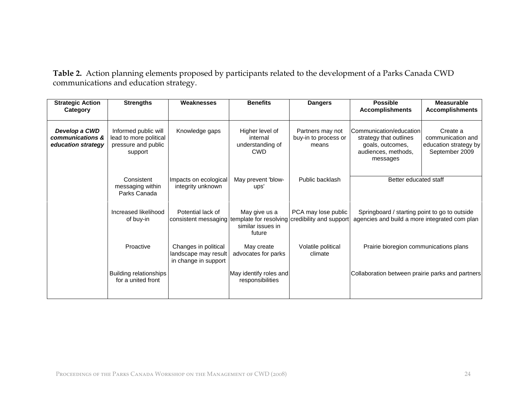**Table 2.** Action planning elements proposed by participants related to the development of a Parks Canada CWD communications and education strategy.

| <b>Strategic Action</b><br>Category                     | <b>Strengths</b>                                                                 | Weaknesses                                                           | <b>Benefits</b>                                                        | <b>Dangers</b>                                    | <b>Possible</b><br><b>Accomplishments</b>                                                                | <b>Measurable</b><br><b>Accomplishments</b>                              |
|---------------------------------------------------------|----------------------------------------------------------------------------------|----------------------------------------------------------------------|------------------------------------------------------------------------|---------------------------------------------------|----------------------------------------------------------------------------------------------------------|--------------------------------------------------------------------------|
| Develop a CWD<br>communications &<br>education strategy | Informed public will<br>lead to more political<br>pressure and public<br>support | Knowledge gaps                                                       | Higher level of<br>internal<br>understanding of<br><b>CWD</b>          | Partners may not<br>buy-in to process or<br>means | Communication/education<br>strategy that outlines<br>goals, outcomes,<br>audiences, methods,<br>messages | Create a<br>communication and<br>education strategy by<br>September 2009 |
|                                                         | Consistent<br>messaging within<br>Parks Canada                                   | Impacts on ecological<br>integrity unknown                           | May prevent 'blow-<br>ups'                                             | Public backlash                                   | Better educated staff                                                                                    |                                                                          |
|                                                         | Increased likelihood<br>of buy-in                                                | Potential lack of<br>consistent messaging                            | May give us a<br>template for resolving<br>similar issues in<br>future | PCA may lose public<br>credibility and support    | Springboard / starting point to go to outside<br>agencies and build a more integrated com plan           |                                                                          |
|                                                         | Proactive                                                                        | Changes in political<br>landscape may result<br>in change in support | May create<br>advocates for parks                                      | Volatile political<br>climate                     | Prairie bioregion communications plans                                                                   |                                                                          |
|                                                         | <b>Building relationships</b><br>for a united front                              |                                                                      | May identify roles and<br>responsibilities                             |                                                   | Collaboration between prairie parks and partners                                                         |                                                                          |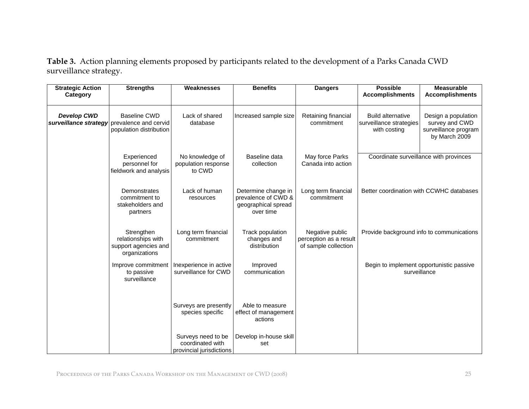**Table 3.** Action planning elements proposed by participants related to the development of a Parks Canada CWD surveillance strategy.

| <b>Strategic Action</b><br>Category | <b>Strengths</b>                                                                              | Weaknesses                                                         | <b>Benefits</b>                                                                | <b>Dangers</b>                                                    | <b>Possible</b><br><b>Accomplishments</b>                           | <b>Measurable</b><br><b>Accomplishments</b>                                    |
|-------------------------------------|-----------------------------------------------------------------------------------------------|--------------------------------------------------------------------|--------------------------------------------------------------------------------|-------------------------------------------------------------------|---------------------------------------------------------------------|--------------------------------------------------------------------------------|
|                                     |                                                                                               |                                                                    |                                                                                |                                                                   |                                                                     |                                                                                |
| <b>Develop CWD</b>                  | <b>Baseline CWD</b><br>surveillance strategy prevalence and cervid<br>population distribution | Lack of shared<br>database                                         | Increased sample size                                                          | Retaining financial<br>commitment                                 | <b>Build alternative</b><br>surveillance strategies<br>with costing | Design a population<br>survey and CWD<br>surveillance program<br>by March 2009 |
|                                     | Experienced<br>personnel for<br>fieldwork and analysis                                        | No knowledge of<br>population response<br>to CWD                   | Baseline data<br>collection                                                    | May force Parks<br>Canada into action                             |                                                                     | Coordinate surveillance with provinces                                         |
|                                     | Demonstrates<br>commitment to<br>stakeholders and<br>partners                                 | Lack of human<br>resources                                         | Determine change in<br>prevalence of CWD &<br>geographical spread<br>over time | Long term financial<br>commitment                                 |                                                                     | Better coordination with CCWHC databases                                       |
|                                     | Strengthen<br>relationships with<br>support agencies and<br>organizations                     | Long term financial<br>commitment                                  | Track population<br>changes and<br>distribution                                | Negative public<br>perception as a result<br>of sample collection | Provide background info to communications                           |                                                                                |
|                                     | Improve commitment<br>to passive<br>surveillance                                              | Inexperience in active<br>surveillance for CWD                     | Improved<br>communication                                                      |                                                                   | surveillance                                                        | Begin to implement opportunistic passive                                       |
|                                     |                                                                                               | Surveys are presently<br>species specific                          | Able to measure<br>effect of management<br>actions                             |                                                                   |                                                                     |                                                                                |
|                                     |                                                                                               | Surveys need to be<br>coordinated with<br>provincial jurisdictions | Develop in-house skill<br>set                                                  |                                                                   |                                                                     |                                                                                |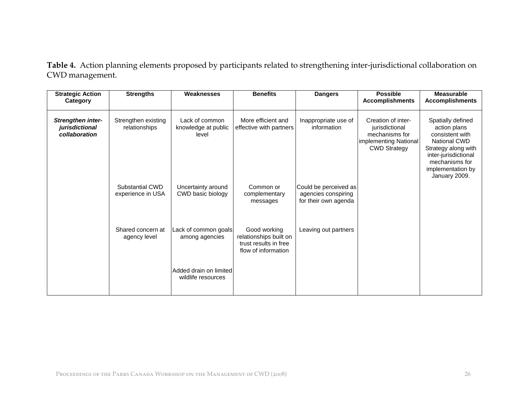**Table 4.** Action planning elements proposed by participants related to strengthening inter-jurisdictional collaboration on CWD management.

| <b>Strategic Action</b><br>Category                         | <b>Strengths</b>                     | Weaknesses                                     | <b>Benefits</b>                                                                        | <b>Dangers</b>                                                       | <b>Possible</b><br><b>Accomplishments</b>                                                              | <b>Measurable</b><br><b>Accomplishments</b>                                                                                                                                        |
|-------------------------------------------------------------|--------------------------------------|------------------------------------------------|----------------------------------------------------------------------------------------|----------------------------------------------------------------------|--------------------------------------------------------------------------------------------------------|------------------------------------------------------------------------------------------------------------------------------------------------------------------------------------|
| <b>Strengthen inter-</b><br>jurisdictional<br>collaboration | Strengthen existing<br>relationships | Lack of common<br>knowledge at public<br>level | More efficient and<br>effective with partners                                          | Inappropriate use of<br>information                                  | Creation of inter-<br>jurisdictional<br>mechanisms for<br>implementing National<br><b>CWD Strategy</b> | Spatially defined<br>action plans<br>consistent with<br><b>National CWD</b><br>Strategy along with<br>inter-jurisdictional<br>mechanisms for<br>implementation by<br>January 2009. |
|                                                             | Substantial CWD<br>experience in USA | Uncertainty around<br>CWD basic biology        | Common or<br>complementary<br>messages                                                 | Could be perceived as<br>agencies conspiring<br>for their own agenda |                                                                                                        |                                                                                                                                                                                    |
|                                                             | Shared concern at<br>agency level    | Lack of common goals<br>among agencies         | Good working<br>relationships built on<br>trust results in free<br>flow of information | Leaving out partners                                                 |                                                                                                        |                                                                                                                                                                                    |
|                                                             |                                      | Added drain on limited<br>wildlife resources   |                                                                                        |                                                                      |                                                                                                        |                                                                                                                                                                                    |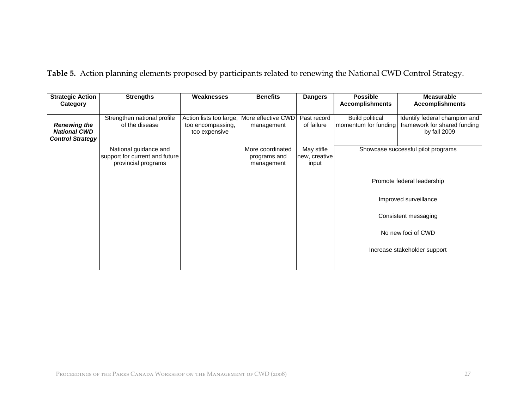| <b>Strategic Action</b><br>Category                                   | <b>Strengths</b>                              | Weaknesses                                                                       | <b>Benefits</b> | <b>Dangers</b>            | <b>Possible</b><br><b>Accomplishments</b> | Measurable<br><b>Accomplishments</b>                                                                 |
|-----------------------------------------------------------------------|-----------------------------------------------|----------------------------------------------------------------------------------|-----------------|---------------------------|-------------------------------------------|------------------------------------------------------------------------------------------------------|
| <b>Renewing the</b><br><b>National CWD</b><br><b>Control Strategy</b> | Strengthen national profile<br>of the disease | Action lists too large, More effective CWD<br>too encompassing,<br>too expensive | management      | Past record<br>of failure | <b>Build political</b>                    | Identify federal champion and<br>momentum for funding   framework for shared funding<br>by fall 2009 |

**Table 5.** Action planning elements proposed by participants related to renewing the National CWD Control Strategy.

|                         | Strengthen national profile    | Action lists too large, | More effective CWD | Past record   | <b>Build political</b> | Identify federal champion and      |
|-------------------------|--------------------------------|-------------------------|--------------------|---------------|------------------------|------------------------------------|
| <b>Renewing the</b>     | of the disease                 | too encompassing,       | management         | of failure    | momentum for funding   | framework for shared funding       |
| <b>National CWD</b>     |                                | too expensive           |                    |               |                        | by fall 2009                       |
| <b>Control Strategy</b> |                                |                         |                    |               |                        |                                    |
|                         | National guidance and          |                         | More coordinated   | May stifle    |                        | Showcase successful pilot programs |
|                         | support for current and future |                         | programs and       | new, creative |                        |                                    |
|                         | provincial programs            |                         | management         | input         |                        |                                    |
|                         |                                |                         |                    |               |                        |                                    |
|                         |                                |                         |                    |               |                        | Promote federal leadership         |
|                         |                                |                         |                    |               |                        |                                    |
|                         |                                |                         |                    |               |                        | Improved surveillance              |
|                         |                                |                         |                    |               |                        |                                    |
|                         |                                |                         |                    |               |                        | Consistent messaging               |
|                         |                                |                         |                    |               |                        |                                    |
|                         |                                |                         |                    |               |                        | No new foci of CWD                 |
|                         |                                |                         |                    |               |                        |                                    |
|                         |                                |                         |                    |               |                        | Increase stakeholder support       |
|                         |                                |                         |                    |               |                        |                                    |
|                         |                                |                         |                    |               |                        |                                    |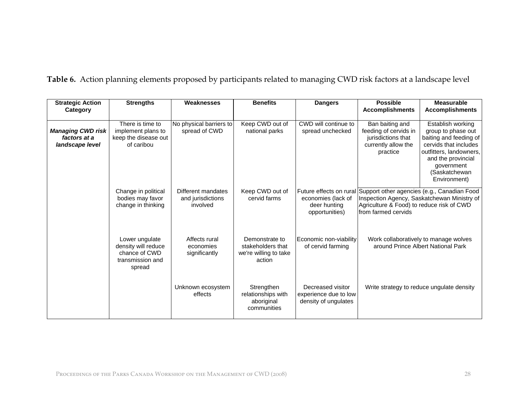|  |  |  | Table 6. Action planning elements proposed by participants related to managing CWD risk factors at a landscape level |  |
|--|--|--|----------------------------------------------------------------------------------------------------------------------|--|
|--|--|--|----------------------------------------------------------------------------------------------------------------------|--|

| <b>Strategic Action</b>                              | <b>Strengths</b>                                                                     | Weaknesses                                          | <b>Benefits</b>                                                        | <b>Dangers</b>                                                     | <b>Possible</b>                                                                                                                          | <b>Measurable</b>                                                                                                                                                                          |
|------------------------------------------------------|--------------------------------------------------------------------------------------|-----------------------------------------------------|------------------------------------------------------------------------|--------------------------------------------------------------------|------------------------------------------------------------------------------------------------------------------------------------------|--------------------------------------------------------------------------------------------------------------------------------------------------------------------------------------------|
| Category                                             |                                                                                      |                                                     |                                                                        |                                                                    | <b>Accomplishments</b>                                                                                                                   | <b>Accomplishments</b>                                                                                                                                                                     |
| Managing CWD risk<br>factors at a<br>landscape level | There is time to<br>implement plans to<br>keep the disease out<br>of caribou         | No physical barriers to<br>spread of CWD            | Keep CWD out of<br>national parks                                      | CWD will continue to<br>spread unchecked                           | Ban baiting and<br>feeding of cervids in<br>jurisdictions that<br>currently allow the<br>practice                                        | Establish working<br>group to phase out<br>baiting and feeding of<br>cervids that includes<br>outfitters, landowners,<br>and the provincial<br>government<br>(Saskatchewan<br>Environment) |
|                                                      | Change in political<br>bodies may favor<br>change in thinking                        | Different mandates<br>and jurisdictions<br>involved | Keep CWD out of<br>cervid farms                                        | economies (lack of<br>deer hunting<br>opportunities)               | Future effects on rural Support other agencies (e.g., Canadian Food<br>Agriculture & Food) to reduce risk of CWD<br>Ifrom farmed cervids | Inspection Agency, Saskatchewan Ministry of                                                                                                                                                |
|                                                      | Lower ungulate<br>density will reduce<br>chance of CWD<br>transmission and<br>spread | Affects rural<br>economies<br>significantly         | Demonstrate to<br>stakeholders that<br>we're willing to take<br>action | Economic non-viability<br>of cervid farming                        |                                                                                                                                          | Work collaboratively to manage wolves<br>around Prince Albert National Park                                                                                                                |
|                                                      |                                                                                      | Unknown ecosystem<br>effects                        | Strengthen<br>relationships with<br>aboriginal<br>communities          | Decreased visitor<br>experience due to low<br>density of ungulates |                                                                                                                                          | Write strategy to reduce ungulate density                                                                                                                                                  |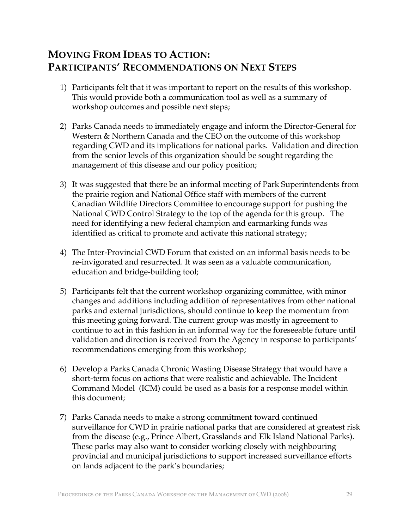## **MOVING FROM IDEAS TO ACTION: PARTICIPANTS' RECOMMENDATIONS ON NEXT STEPS**

- 1) Participants felt that it was important to report on the results of this workshop. This would provide both a communication tool as well as a summary of workshop outcomes and possible next steps;
- 2) Parks Canada needs to immediately engage and inform the Director-General for Western & Northern Canada and the CEO on the outcome of this workshop regarding CWD and its implications for national parks. Validation and direction from the senior levels of this organization should be sought regarding the management of this disease and our policy position;
- 3) It was suggested that there be an informal meeting of Park Superintendents from the prairie region and National Office staff with members of the current Canadian Wildlife Directors Committee to encourage support for pushing the National CWD Control Strategy to the top of the agenda for this group. The need for identifying a new federal champion and earmarking funds was identified as critical to promote and activate this national strategy;
- 4) The Inter-Provincial CWD Forum that existed on an informal basis needs to be re-invigorated and resurrected. It was seen as a valuable communication, education and bridge-building tool;
- 5) Participants felt that the current workshop organizing committee, with minor changes and additions including addition of representatives from other national parks and external jurisdictions, should continue to keep the momentum from this meeting going forward. The current group was mostly in agreement to continue to act in this fashion in an informal way for the foreseeable future until validation and direction is received from the Agency in response to participants' recommendations emerging from this workshop;
- 6) Develop a Parks Canada Chronic Wasting Disease Strategy that would have a short-term focus on actions that were realistic and achievable. The Incident Command Model (ICM) could be used as a basis for a response model within this document;
- 7) Parks Canada needs to make a strong commitment toward continued surveillance for CWD in prairie national parks that are considered at greatest risk from the disease (e.g., Prince Albert, Grasslands and Elk Island National Parks). These parks may also want to consider working closely with neighbouring provincial and municipal jurisdictions to support increased surveillance efforts on lands adjacent to the park's boundaries;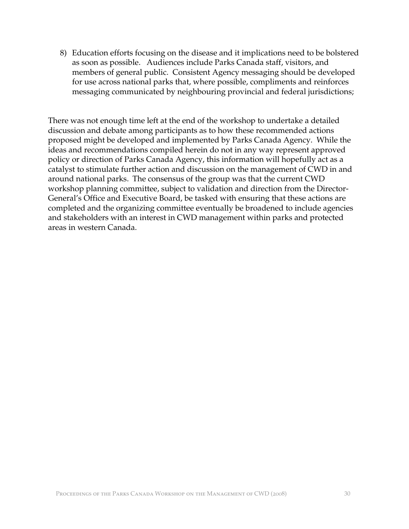8) Education efforts focusing on the disease and it implications need to be bolstered as soon as possible. Audiences include Parks Canada staff, visitors, and members of general public. Consistent Agency messaging should be developed for use across national parks that, where possible, compliments and reinforces messaging communicated by neighbouring provincial and federal jurisdictions;

There was not enough time left at the end of the workshop to undertake a detailed discussion and debate among participants as to how these recommended actions proposed might be developed and implemented by Parks Canada Agency. While the ideas and recommendations compiled herein do not in any way represent approved policy or direction of Parks Canada Agency, this information will hopefully act as a catalyst to stimulate further action and discussion on the management of CWD in and around national parks. The consensus of the group was that the current CWD workshop planning committee, subject to validation and direction from the Director-General's Office and Executive Board, be tasked with ensuring that these actions are completed and the organizing committee eventually be broadened to include agencies and stakeholders with an interest in CWD management within parks and protected areas in western Canada.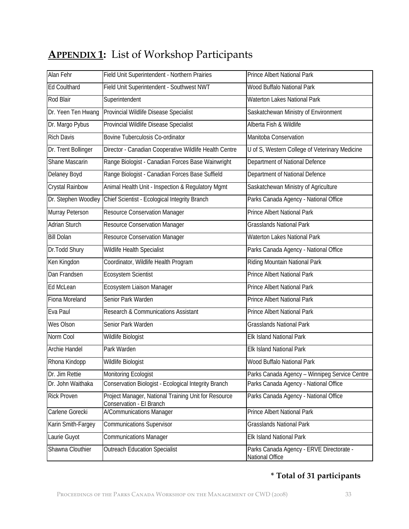| <b>APPENDIX 1:</b> List of Workshop Participants |  |
|--------------------------------------------------|--|
|                                                  |  |

| Alan Fehr            | Field Unit Superintendent - Northern Prairies                                    | <b>Prince Albert National Park</b>                          |
|----------------------|----------------------------------------------------------------------------------|-------------------------------------------------------------|
| <b>Ed Coulthard</b>  | Field Unit Superintendent - Southwest NWT                                        | Wood Buffalo National Park                                  |
| Rod Blair            | Superintendent                                                                   | <b>Waterton Lakes National Park</b>                         |
| Dr. Yeen Ten Hwang   | Provincial Wildlife Disease Specialist                                           | Saskatchewan Ministry of Environment                        |
| Dr. Margo Pybus      | Provincial Wildlife Disease Specialist                                           | Alberta Fish & Wildlife                                     |
| <b>Rich Davis</b>    | <b>Bovine Tuberculosis Co-ordinator</b>                                          | Manitoba Conservation                                       |
| Dr. Trent Bollinger  | Director - Canadian Cooperative Wildlife Health Centre                           | U of S, Western College of Veterinary Medicine              |
| Shane Mascarin       | Range Biologist - Canadian Forces Base Wainwright                                | Department of National Defence                              |
| Delaney Boyd         | Range Biologist - Canadian Forces Base Suffield                                  | Department of National Defence                              |
| Crystal Rainbow      | Animal Health Unit - Inspection & Regulatory Mgmt                                | Saskatchewan Ministry of Agriculture                        |
| Dr. Stephen Woodley  | Chief Scientist - Ecological Integrity Branch                                    | Parks Canada Agency - National Office                       |
| Murray Peterson      | <b>Resource Conservation Manager</b>                                             | <b>Prince Albert National Park</b>                          |
| <b>Adrian Sturch</b> | <b>Resource Conservation Manager</b>                                             | <b>Grasslands National Park</b>                             |
| <b>Bill Dolan</b>    | Resource Conservation Manager                                                    | <b>Waterton Lakes National Park</b>                         |
| Dr.Todd Shury        | Wildlife Health Specialist                                                       | Parks Canada Agency - National Office                       |
| Ken Kingdon          | Coordinator, Wildlife Health Program                                             | Riding Mountain National Park                               |
| Dan Frandsen         | Ecosystem Scientist                                                              | <b>Prince Albert National Park</b>                          |
| Ed McLean            | Ecosystem Liaison Manager                                                        | Prince Albert National Park                                 |
| Fiona Moreland       | Senior Park Warden                                                               | Prince Albert National Park                                 |
| Eva Paul             | Research & Communications Assistant                                              | Prince Albert National Park                                 |
| Wes Olson            | Senior Park Warden                                                               | <b>Grasslands National Park</b>                             |
| Norm Cool            | Wildlife Biologist                                                               | <b>Elk Island National Park</b>                             |
| Archie Handel        | Park Warden                                                                      | <b>Elk Island National Park</b>                             |
| Rhona Kindopp        | Wildlife Biologist                                                               | Wood Buffalo National Park                                  |
| Dr. Jim Rettie       | Monitoring Ecologist                                                             | Parks Canada Agency - Winnipeg Service Centre               |
| Dr. John Waithaka    | Conservation Biologist - Ecological Integrity Branch                             | Parks Canada Agency - National Office                       |
| <b>Rick Proven</b>   | Project Manager, National Training Unit for Resource<br>Conservation - El Branch | Parks Canada Agency - National Office                       |
| Carlene Gorecki      | A/Communications Manager                                                         | Prince Albert National Park                                 |
| Karin Smith-Fargey   | <b>Communications Supervisor</b>                                                 | <b>Grasslands National Park</b>                             |
| Laurie Guyot         | <b>Communications Manager</b>                                                    | <b>Elk Island National Park</b>                             |
| Shawna Clouthier     | <b>Outreach Education Specialist</b>                                             | Parks Canada Agency - ERVE Directorate -<br>National Office |

## **\* Total of 31 participants**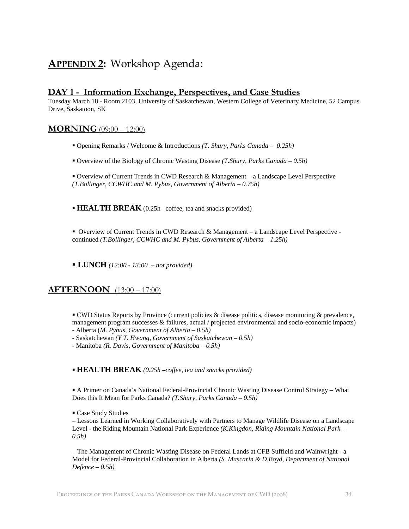## **APPENDIX 2:** Workshop Agenda:

#### **DAY 1 - Information Exchange, Perspectives, and Case Studies**

Tuesday March 18 - Room 2103, University of Saskatchewan, Western College of Veterinary Medicine, 52 Campus Drive, Saskatoon, SK

#### **MORNING** (09:00 – 12:00)

- Opening Remarks / Welcome & Introductions *(T. Shury, Parks Canada 0.25h)*
- Overview of the Biology of Chronic Wasting Disease *(T.Shury, Parks Canada 0.5h)*
- Overview of Current Trends in CWD Research & Management a Landscape Level Perspective *(T.Bollinger, CCWHC and M. Pybus, Government of Alberta – 0.75h)*

**HEALTH BREAK** (0.25h –coffee, tea and snacks provided)

 Overview of Current Trends in CWD Research & Management – a Landscape Level Perspective continued *(T.Bollinger, CCWHC and M. Pybus, Government of Alberta – 1.25h)*

**LUNCH** *(12:00 - 13:00 – not provided)*

#### **AFTERNOON** (13:00 – 17:00)

 CWD Status Reports by Province (current policies & disease politics, disease monitoring & prevalence, management program successes & failures, actual / projected environmental and socio-economic impacts)

- Alberta (*M. Pybus, Government of Alberta 0.5h)*
- Saskatchewan *(Y T. Hwang, Government of Saskatchewan 0.5h)*
- Manitoba *(R. Davis, Government of Manitoba 0.5h)*

**HEALTH BREAK** *(0.25h –coffee, tea and snacks provided)*

 A Primer on Canada's National Federal-Provincial Chronic Wasting Disease Control Strategy – What Does this It Mean for Parks Canada? *(T.Shury, Parks Canada – 0.5h)*

Case Study Studies

– Lessons Learned in Working Collaboratively with Partners to Manage Wildlife Disease on a Landscape Level - the Riding Mountain National Park Experience *(K.Kingdon, Riding Mountain National Park – 0.5h)*

– The Management of Chronic Wasting Disease on Federal Lands at CFB Suffield and Wainwright - a Model for Federal-Provincial Collaboration in Alberta *(S. Mascarin & D.Boyd, Department of National Defence – 0.5h)*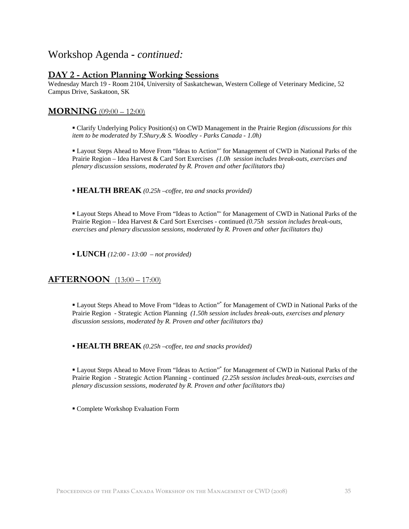## Workshop Agenda **-** *continued:*

#### **DAY 2 - Action Planning Working Sessions**

Wednesday March 19 - Room 2104, University of Saskatchewan, Western College of Veterinary Medicine, 52 Campus Drive, Saskatoon, SK

#### **MORNING** (09:00 – 12:00)

 Clarify Underlying Policy Position(s) on CWD Management in the Prairie Region *(discussions for this item to be moderated by T.Shury,& S. Woodley - Parks Canada - 1.0h)*

 Layout Steps Ahead to Move From "Ideas to Action"\* for Management of CWD in National Parks of the Prairie Region – Idea Harvest & Card Sort Exercises *(1.0h session includes break-outs, exercises and plenary discussion sessions, moderated by R. Proven and other facilitators tba)* 

**HEALTH BREAK** *(0.25h –coffee, tea and snacks provided)*

 Layout Steps Ahead to Move From "Ideas to Action"\* for Management of CWD in National Parks of the Prairie Region – Idea Harvest & Card Sort Exercises - continued *(0.75h session includes break-outs, exercises and plenary discussion sessions, moderated by R. Proven and other facilitators tba)*

**LUNCH** *(12:00 - 13:00 – not provided)*

#### **AFTERNOON** (13:00 – 17:00)

 Layout Steps Ahead to Move From "Ideas to Action"\* for Management of CWD in National Parks of the Prairie Region - Strategic Action Planning *(1.50h session includes break-outs, exercises and plenary discussion sessions, moderated by R. Proven and other facilitators tba)*

**HEALTH BREAK** *(0.25h –coffee, tea and snacks provided)*

■ Layout Steps Ahead to Move From "Ideas to Action"<sup>\*</sup> for Management of CWD in National Parks of the Prairie Region - Strategic Action Planning - continued *(2.25h session includes break-outs, exercises and plenary discussion sessions, moderated by R. Proven and other facilitators tba)*

Complete Workshop Evaluation Form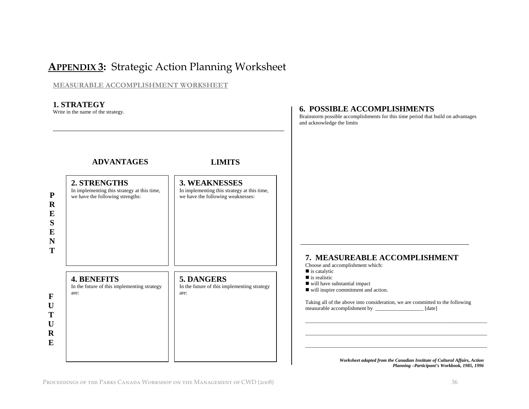## **APPENDIX 3:** Strategic Action Planning Worksheet

#### **MEASURABLE ACCOMPLISHMENT WORKSHEET**



*Worksheet adapted from the Canadian Institute of Cultural Affairs, Action Planning –Participant's Workbook, 1985, 1996*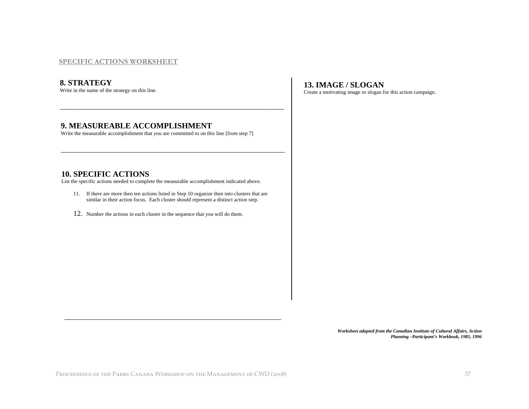#### **SPECIFIC ACTIONS WORKSHEET**

#### **8. STRATEGY**

Write in the name of the strategy on this line.

#### **9. MEASUREABLE ACCOMPLISHMENT**

Write the measurable accomplishment that you are committed to on this line [from step 7]

#### **10. SPECIFIC ACTIONS**

List the specific actions needed to complete the measurable accomplishment indicated above.

11. If there are more then ten actions listed in Step 10 organize then into clusters that are similar in their action focus. Each cluster should represent a distinct action step.

\_\_\_\_\_\_\_\_\_\_\_\_\_\_\_\_\_\_\_\_\_\_\_\_\_\_\_\_\_\_\_\_\_\_\_\_\_\_\_\_\_\_\_\_\_\_\_\_\_\_\_\_\_\_\_\_\_\_\_\_\_

\_\_\_\_\_\_\_\_\_\_\_\_\_\_\_\_\_\_\_\_\_\_\_\_\_\_\_\_\_\_\_\_\_\_\_\_\_\_\_\_\_\_\_\_\_\_\_\_\_\_\_\_\_\_\_\_\_\_\_\_\_

12. Number the actions in each cluster in the sequence that you will do them.

#### **13. IMAGE / SLOGAN**

Create a motivating image or slogan for this action campaign.

*Worksheet adapted from the Canadian Institute of Cultural Affairs, Action Planning –Participant's Workbook, 1985, 1996*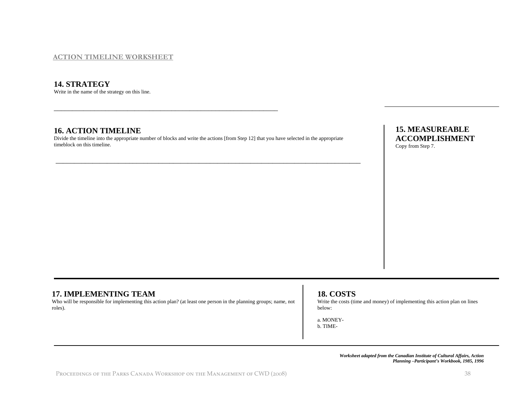#### **ACTION TIMELINE WORKSHEET**

#### **14. STRATEGY**

Write in the name of the strategy on this line. Write in the name of the strategy on this line.

#### **16. ACTION TIMELINE**

Divide the timeline into the appropriate number of blocks and write the actions [from Step 12] that you have selected in the appropriate timeblock on this timeline.

\_\_\_\_\_\_\_\_\_\_\_\_\_\_\_\_\_\_\_\_\_\_\_\_\_\_\_\_\_\_\_\_\_\_\_\_\_\_\_\_\_\_\_\_\_\_\_\_\_\_\_\_\_\_\_\_\_\_\_\_\_\_\_\_\_\_\_\_\_\_\_\_\_\_\_\_\_\_\_\_\_\_\_

#### **15. MEASUREABLE ACCOMPLISHMENT**  Copy from Step 7.

#### **17. IMPLEMENTING TEAM**

Who will be responsible for implementing this action plan? (at least one person in the planning groups; name, not roles).

#### **18. COSTS**

Write the costs (time and money) of implementing this action plan on lines below:

a. MONEYb. TIME-

> *Worksheet adapted from the Canadian Institute of Cultural Affairs, Action Planning –Participant's Workbook, 1985, 1996*